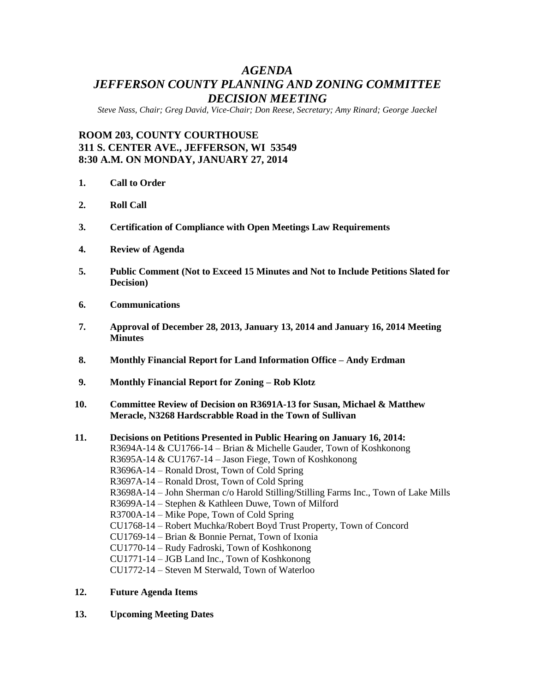# *AGENDA JEFFERSON COUNTY PLANNING AND ZONING COMMITTEE DECISION MEETING*

*Steve Nass, Chair; Greg David, Vice-Chair; Don Reese, Secretary; Amy Rinard; George Jaeckel*

## **ROOM 203, COUNTY COURTHOUSE 311 S. CENTER AVE., JEFFERSON, WI 53549 8:30 A.M. ON MONDAY, JANUARY 27, 2014**

- **1. Call to Order**
- **2. Roll Call**
- **3. Certification of Compliance with Open Meetings Law Requirements**
- **4. Review of Agenda**
- **5. Public Comment (Not to Exceed 15 Minutes and Not to Include Petitions Slated for Decision)**
- **6. Communications**
- **7. Approval of December 28, 2013, January 13, 2014 and January 16, 2014 Meeting Minutes**
- **8. Monthly Financial Report for Land Information Office – Andy Erdman**
- **9. Monthly Financial Report for Zoning – Rob Klotz**
- **10. Committee Review of Decision on R3691A-13 for Susan, Michael & Matthew Meracle, N3268 Hardscrabble Road in the Town of Sullivan**

### **11. Decisions on Petitions Presented in Public Hearing on January 16, 2014:** R3694A-14 & CU1766-14 – Brian & Michelle Gauder, Town of Koshkonong R3695A-14 & CU1767-14 – Jason Fiege, Town of Koshkonong R3696A-14 – Ronald Drost, Town of Cold Spring R3697A-14 – Ronald Drost, Town of Cold Spring R3698A-14 – John Sherman c/o Harold Stilling/Stilling Farms Inc., Town of Lake Mills R3699A-14 – Stephen & Kathleen Duwe, Town of Milford R3700A-14 – Mike Pope, Town of Cold Spring CU1768-14 – Robert Muchka/Robert Boyd Trust Property, Town of Concord CU1769-14 – Brian & Bonnie Pernat, Town of Ixonia CU1770-14 – Rudy Fadroski, Town of Koshkonong CU1771-14 – JGB Land Inc., Town of Koshkonong CU1772-14 – Steven M Sterwald, Town of Waterloo

- **12. Future Agenda Items**
- **13. Upcoming Meeting Dates**